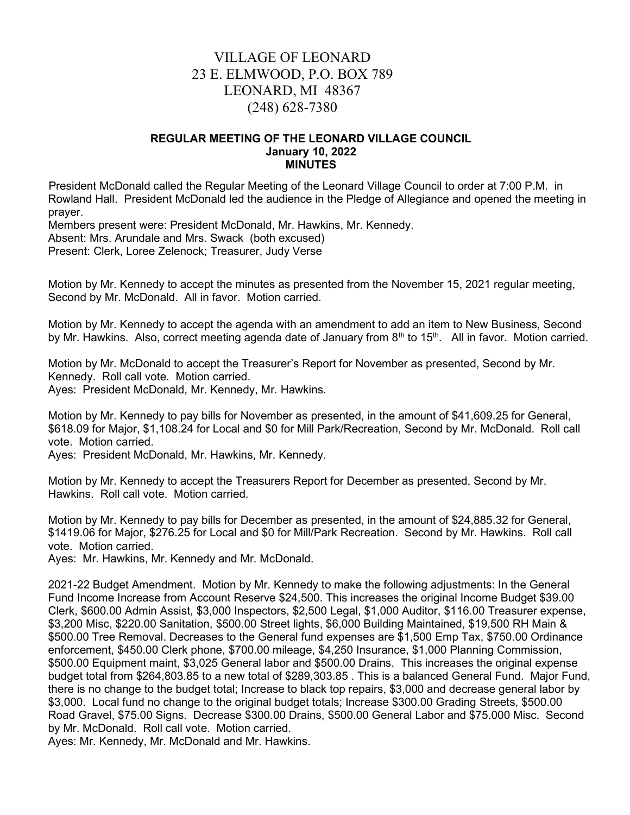# VILLAGE OF LEONARD 23 E. ELMWOOD, P.O. BOX 789 LEONARD, MI 48367 (248) 628-7380

#### REGULAR MEETING OF THE LEONARD VILLAGE COUNCIL January 10, 2022 MINUTES

 President McDonald called the Regular Meeting of the Leonard Village Council to order at 7:00 P.M. in Rowland Hall. President McDonald led the audience in the Pledge of Allegiance and opened the meeting in prayer.

Members present were: President McDonald, Mr. Hawkins, Mr. Kennedy.

Absent: Mrs. Arundale and Mrs. Swack (both excused)

Present: Clerk, Loree Zelenock; Treasurer, Judy Verse

Motion by Mr. Kennedy to accept the minutes as presented from the November 15, 2021 regular meeting, Second by Mr. McDonald. All in favor. Motion carried.

Motion by Mr. Kennedy to accept the agenda with an amendment to add an item to New Business, Second by Mr. Hawkins. Also, correct meeting agenda date of January from 8<sup>th</sup> to 15<sup>th</sup>. All in favor. Motion carried.

Motion by Mr. McDonald to accept the Treasurer's Report for November as presented, Second by Mr. Kennedy. Roll call vote. Motion carried.

Ayes: President McDonald, Mr. Kennedy, Mr. Hawkins.

Motion by Mr. Kennedy to pay bills for November as presented, in the amount of \$41,609.25 for General, \$618.09 for Major, \$1,108.24 for Local and \$0 for Mill Park/Recreation, Second by Mr. McDonald. Roll call vote. Motion carried.

Ayes: President McDonald, Mr. Hawkins, Mr. Kennedy.

Motion by Mr. Kennedy to accept the Treasurers Report for December as presented, Second by Mr. Hawkins. Roll call vote. Motion carried.

Motion by Mr. Kennedy to pay bills for December as presented, in the amount of \$24,885.32 for General, \$1419.06 for Major, \$276.25 for Local and \$0 for Mill/Park Recreation. Second by Mr. Hawkins. Roll call vote. Motion carried.

Ayes: Mr. Hawkins, Mr. Kennedy and Mr. McDonald.

2021-22 Budget Amendment. Motion by Mr. Kennedy to make the following adjustments: In the General Fund Income Increase from Account Reserve \$24,500. This increases the original Income Budget \$39.00 Clerk, \$600.00 Admin Assist, \$3,000 Inspectors, \$2,500 Legal, \$1,000 Auditor, \$116.00 Treasurer expense, \$3,200 Misc, \$220.00 Sanitation, \$500.00 Street lights, \$6,000 Building Maintained, \$19,500 RH Main & \$500.00 Tree Removal. Decreases to the General fund expenses are \$1,500 Emp Tax, \$750.00 Ordinance enforcement, \$450.00 Clerk phone, \$700.00 mileage, \$4,250 Insurance, \$1,000 Planning Commission, \$500.00 Equipment maint, \$3,025 General labor and \$500.00 Drains. This increases the original expense budget total from \$264,803.85 to a new total of \$289,303.85 . This is a balanced General Fund. Major Fund, there is no change to the budget total; Increase to black top repairs, \$3,000 and decrease general labor by \$3,000. Local fund no change to the original budget totals; Increase \$300.00 Grading Streets, \$500.00 Road Gravel, \$75.00 Signs. Decrease \$300.00 Drains, \$500.00 General Labor and \$75.000 Misc. Second by Mr. McDonald. Roll call vote. Motion carried.

Ayes: Mr. Kennedy, Mr. McDonald and Mr. Hawkins.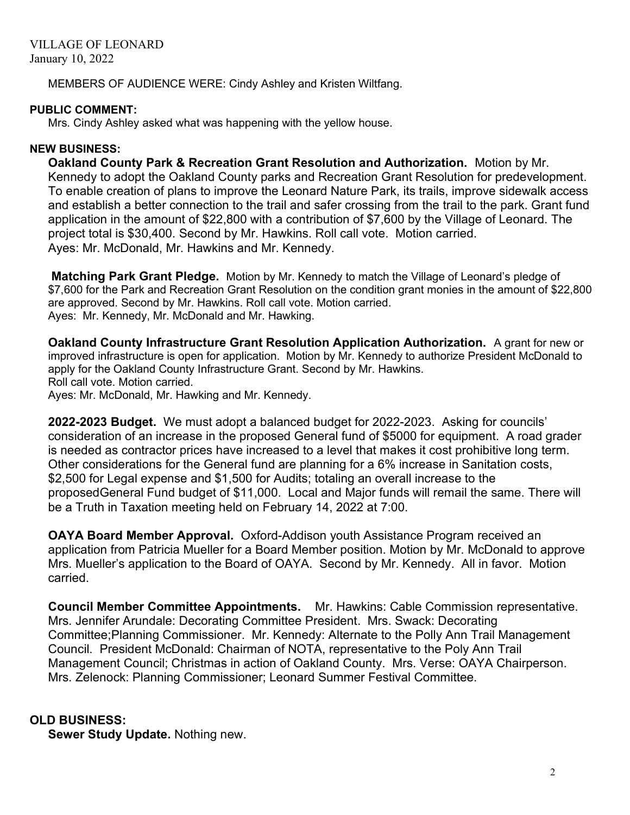MEMBERS OF AUDIENCE WERE: Cindy Ashley and Kristen Wiltfang.

#### PUBLIC COMMENT:

Mrs. Cindy Ashley asked what was happening with the yellow house.

### NEW BUSINESS:

Oakland County Park & Recreation Grant Resolution and Authorization. Motion by Mr. Kennedy to adopt the Oakland County parks and Recreation Grant Resolution for predevelopment. To enable creation of plans to improve the Leonard Nature Park, its trails, improve sidewalk access and establish a better connection to the trail and safer crossing from the trail to the park. Grant fund application in the amount of \$22,800 with a contribution of \$7,600 by the Village of Leonard. The project total is \$30,400. Second by Mr. Hawkins. Roll call vote. Motion carried. Ayes: Mr. McDonald, Mr. Hawkins and Mr. Kennedy.

**Matching Park Grant Pledge.** Motion by Mr. Kennedy to match the Village of Leonard's pledge of \$7,600 for the Park and Recreation Grant Resolution on the condition grant monies in the amount of \$22,800 are approved. Second by Mr. Hawkins. Roll call vote. Motion carried. Ayes: Mr. Kennedy, Mr. McDonald and Mr. Hawking.

Oakland County Infrastructure Grant Resolution Application Authorization. A grant for new or improved infrastructure is open for application. Motion by Mr. Kennedy to authorize President McDonald to apply for the Oakland County Infrastructure Grant. Second by Mr. Hawkins. Roll call vote. Motion carried.

Ayes: Mr. McDonald, Mr. Hawking and Mr. Kennedy.

2022-2023 Budget. We must adopt a balanced budget for 2022-2023. Asking for councils' consideration of an increase in the proposed General fund of \$5000 for equipment. A road grader is needed as contractor prices have increased to a level that makes it cost prohibitive long term. Other considerations for the General fund are planning for a 6% increase in Sanitation costs, \$2,500 for Legal expense and \$1,500 for Audits; totaling an overall increase to the proposedGeneral Fund budget of \$11,000. Local and Major funds will remail the same. There will be a Truth in Taxation meeting held on February 14, 2022 at 7:00.

OAYA Board Member Approval. Oxford-Addison youth Assistance Program received an application from Patricia Mueller for a Board Member position. Motion by Mr. McDonald to approve Mrs. Mueller's application to the Board of OAYA. Second by Mr. Kennedy. All in favor. Motion carried.

Council Member Committee Appointments. Mr. Hawkins: Cable Commission representative. Mrs. Jennifer Arundale: Decorating Committee President. Mrs. Swack: Decorating Committee;Planning Commissioner. Mr. Kennedy: Alternate to the Polly Ann Trail Management Council. President McDonald: Chairman of NOTA, representative to the Poly Ann Trail Management Council; Christmas in action of Oakland County. Mrs. Verse: OAYA Chairperson. Mrs. Zelenock: Planning Commissioner; Leonard Summer Festival Committee.

## OLD BUSINESS:

Sewer Study Update. Nothing new.